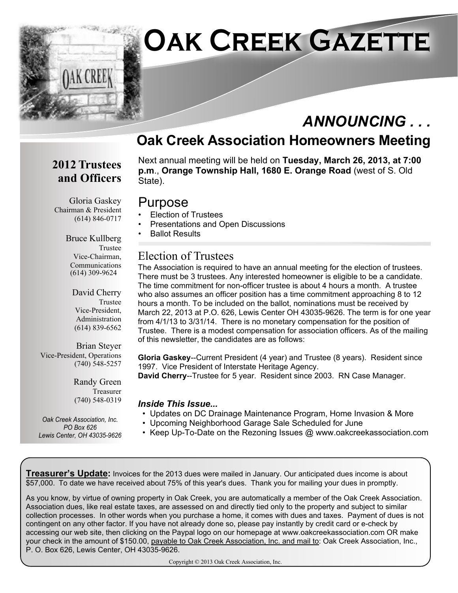

## *ANNOUNCING . . .*

### **Oak Creek Association Homeowners Meeting**

#### **2012 Trustees and Officers**

Next annual meeting will be held on **Tuesday, March 26, 2013, at 7:00 p.m**., **Orange Township Hall, 1680 E. Orange Road** (west of S. Old State).

#### Purpose

- Election of Trustees
- Presentations and Open Discussions
- Ballot Results

#### Election of Trustees

The Association is required to have an annual meeting for the election of trustees. There must be 3 trustees. Any interested homeowner is eligible to be a candidate. The time commitment for non-officer trustee is about 4 hours a month. A trustee who also assumes an officer position has a time commitment approaching 8 to 12 hours a month. To be included on the ballot, nominations must be received by March 22, 2013 at P.O. 626, Lewis Center OH 43035-9626. The term is for one year from 4/1/13 to 3/31/14. There is no monetary compensation for the position of Trustee. There is a modest compensation for association officers. As of the mailing of this newsletter, the candidates are as follows:

**Gloria Gaskey**--Current President (4 year) and Trustee (8 years). Resident since 1997. Vice President of Interstate Heritage Agency.

**David Cherry**--Trustee for 5 year. Resident since 2003. RN Case Manager.

#### *Inside This Issue...*

- Updates on DC Drainage Maintenance Program, Home Invasion & More
- Upcoming Neighborhood Garage Sale Scheduled for June
- Keep Up-To-Date on the Rezoning Issues @ www.oakcreekassociation.com

**Treasurer's Update:** Invoices for the 2013 dues were mailed in January. Our anticipated dues income is about \$57,000. To date we have received about 75% of this year's dues. Thank you for mailing your dues in promptly.

As you know, by virtue of owning property in Oak Creek, you are automatically a member of the Oak Creek Association. Association dues, like real estate taxes, are assessed on and directly tied only to the property and subject to similar collection processes. In other words when you purchase a home, it comes with dues and taxes. Payment of dues is not contingent on any other factor. If you have not already done so, please pay instantly by credit card or e-check by accessing our web site, then clicking on the Paypal logo on our homepage at www.oakcreekassociation.com OR make your check in the amount of \$150.00, payable to Oak Creek Association, Inc. and mail to: Oak Creek Association, Inc., P. O. Box 626, Lewis Center, OH 43035-9626.

Copyright © 2013 Oak Creek Association, Inc.

Gloria Gaskey Chairman & President (614) 846-0717

> Bruce Kullberg Trustee Vice-Chairman, Communications (614) 309-9624

> > David Cherry Trustee Vice-President, Administration (614) 839-6562

Brian Steyer Vice-President, Operations (740) 548-5257

> Randy Green Treasurer (740) 548-0319

*Oak Creek Association, Inc. PO Box 626 Lewis Center, OH 43035-9626*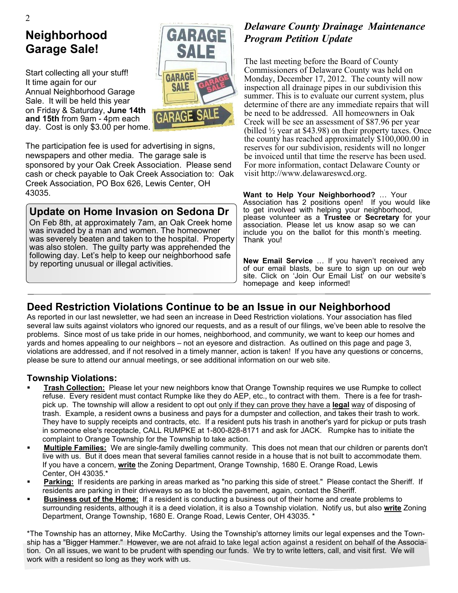## **Neighborhood Garage Sale!**

Start collecting all your stuff! It time again for our Annual Neighborhood Garage Sale. It will be held this year on Friday & Saturday, **June 14th and 15th** from 9am - 4pm each day. Cost is only \$3.00 per home.



The participation fee is used for advertising in signs, newspapers and other media. The garage sale is sponsored by your Oak Creek Association. Please send cash or check payable to Oak Creek Association to: Oak Creek Association, PO Box 626, Lewis Center, OH 43035.

#### **Update on Home Invasion on Sedona Dr**

On Feb 8th, at approximately 7am, an Oak Creek home was invaded by a man and women. The homeowner was severely beaten and taken to the hospital. Property was also stolen. The guilty party was apprehended the following day. Let's help to keep our neighborhood safe by reporting unusual or illegal activities.

#### *Delaware County Drainage Maintenance Program Petition Update*

The last meeting before the Board of County Commissioners of Delaware County was held on Monday, December 17, 2012. The county will now inspection all drainage pipes in our subdivision this summer. This is to evaluate our current system, plus determine of there are any immediate repairs that will be need to be addressed. All homeowners in Oak Creek will be see an assessment of \$87.96 per year (billed  $\frac{1}{2}$  year at \$43.98) on their property taxes. Once the county has reached approximately \$100,000.00 in reserves for our subdivision, residents will no longer be invoiced until that time the reserve has been used. For more information, contact Delaware County or visit http://www.delawareswcd.org.

**Want to Help Your Neighborhood?** … Your Association has 2 positions open! If you would like to get involved with helping your neighborhood, please volunteer as a **Trustee** or **Secretary** for your association. Please let us know asap so we can include you on the ballot for this month's meeting. Thank you!

**New Email Service** … If you haven't received any of our email blasts, be sure to sign up on our web site. Click on 'Join Our Email List' on our website's homepage and keep informed!

#### **Deed Restriction Violations Continue to be an Issue in our Neighborhood**

As reported in our last newsletter, we had seen an increase in Deed Restriction violations. Your association has filed several law suits against violators who ignored our requests, and as a result of our filings, we've been able to resolve the problems. Since most of us take pride in our homes, neighborhood, and community, we want to keep our homes and yards and homes appealing to our neighbors – not an eyesore and distraction. As outlined on this page and page 3, violations are addressed, and if not resolved in a timely manner, action is taken! If you have any questions or concerns, please be sure to attend our annual meetings, or see additional information on our web site.

#### **Township Violations:**

- ß **Trash Collection:** Please let your new neighbors know that Orange Township requires we use Rumpke to collect refuse. Every resident must contact Rumpke like they do AEP, etc., to contract with them. There is a fee for trashpick up. The township will allow a resident to opt out only if they can prove they have a **legal** way of disposing of trash. Example, a resident owns a business and pays for a dumpster and collection, and takes their trash to work. They have to supply receipts and contracts, etc. If a resident puts his trash in another's yard for pickup or puts trash in someone else's receptacle, CALL RUMPKE at 1-800-828-8171 and ask for JACK. Rumpke has to initiate the complaint to Orange Township for the Township to take action.
- ß **Multiple Families:** We are single-family dwelling community. This does not mean that our children or parents don't live with us. But it does mean that several families cannot reside in a house that is not built to accommodate them. If you have a concern, **write** the Zoning Department, Orange Township, 1680 E. Orange Road, Lewis Center, OH 43035.\*
- Parking: If residents are parking in areas marked as "no parking this side of street." Please contact the Sheriff. If residents are parking in their driveways so as to block the pavement, again, contact the Sheriff.
- ß **Business out of the Home:** If a resident is conducting a business out of their home and create problems to surrounding residents, although it is a deed violation, it is also a Township violation. Notify us, but also **write** Zoning Department, Orange Township, 1680 E. Orange Road, Lewis Center, OH 43035. \*

\*The Township has an attorney, Mike McCarthy. Using the Township's attorney limits our legal expenses and the Township has a "Bigger Hammer." However, we are not afraid to take legal action against a resident on behalf of the Association. On all issues, we want to be prudent with spending our funds. We try to write letters, call, and visit first. We will work with a resident so long as they work with us.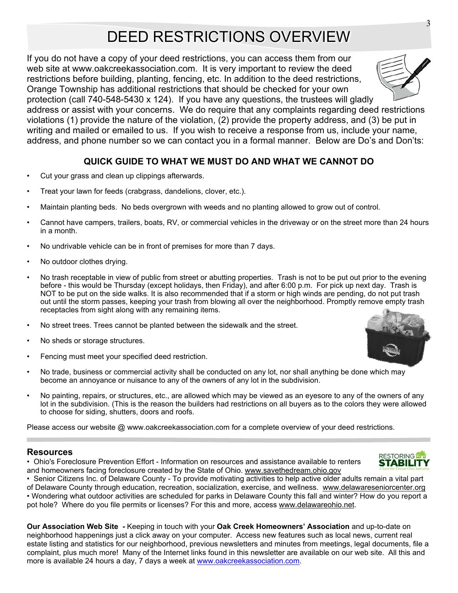## DEED RESTRICTIONS OVERVIEW

If you do not have a copy of your deed restrictions, you can access them from our web site at www.oakcreekassociation.com. It is very important to review the deed restrictions before building, planting, fencing, etc. In addition to the deed restrictions, Orange Township has additional restrictions that should be checked for your own

protection (call 740-548-5430 x 124). If you have any questions, the trustees will gladly address or assist with your concerns. We do require that any complaints regarding deed restrictions violations (1) provide the nature of the violation, (2) provide the property address, and (3) be put in writing and mailed or emailed to us. If you wish to receive a response from us, include your name, address, and phone number so we can contact you in a formal manner. Below are Do's and Don'ts:

#### **QUICK GUIDE TO WHAT WE MUST DO AND WHAT WE CANNOT DO**

- Cut your grass and clean up clippings afterwards.
- Treat your lawn for feeds (crabgrass, dandelions, clover, etc.).
- Maintain planting beds. No beds overgrown with weeds and no planting allowed to grow out of control.
- Cannot have campers, trailers, boats, RV, or commercial vehicles in the driveway or on the street more than 24 hours in a month.
- No undrivable vehicle can be in front of premises for more than 7 days.
- No outdoor clothes drying.
- No trash receptable in view of public from street or abutting properties. Trash is not to be put out prior to the evening before - this would be Thursday (except holidays, then Friday), and after 6:00 p.m. For pick up next day. Trash is NOT to be put on the side walks. It is also recommended that if a storm or high winds are pending, do not put trash out until the storm passes, keeping your trash from blowing all over the neighborhood. Promptly remove empty trash receptacles from sight along with any remaining items.
- No street trees. Trees cannot be planted between the sidewalk and the street.
- No sheds or storage structures.
- Fencing must meet your specified deed restriction.
- No trade, business or commercial activity shall be conducted on any lot, nor shall anything be done which may become an annoyance or nuisance to any of the owners of any lot in the subdivision.
- No painting, repairs, or structures, etc., are allowed which may be viewed as an eyesore to any of the owners of any lot in the subdivision. (This is the reason the builders had restrictions on all buyers as to the colors they were allowed to choose for siding, shutters, doors and roofs.

Please access our website @ www.oakcreekassociation.com for a complete overview of your deed restrictions.

#### **Resources**

• Ohio's Foreclosure Prevention Effort - Information on resources and assistance available to renters and homeowners facing foreclosure created by the State of Ohio. www.savethedream.ohio.gov

• Senior Citizens Inc. of Delaware County - To provide motivating activities to help active older adults remain a vital part of Delaware County through education, recreation, socialization, exercise, and wellness. www.delawareseniorcenter.org • Wondering what outdoor activities are scheduled for parks in Delaware County this fall and winter? How do you report a pot hole? Where do you file permits or licenses? For this and more, access www.delawareohio.net.

**Our Association Web Site** *-* Keeping in touch with your **Oak Creek Homeowners' Association** and up-to-date on neighborhood happenings just a click away on your computer. Access new features such as local news, current real estate listing and statistics for our neighborhood, previous newsletters and minutes from meetings, legal documents, file a complaint, plus much more! Many of the Internet links found in this newsletter are available on our web site. All this and more is available 24 hours a day, 7 days a week at www.oakcreekassociation.com.